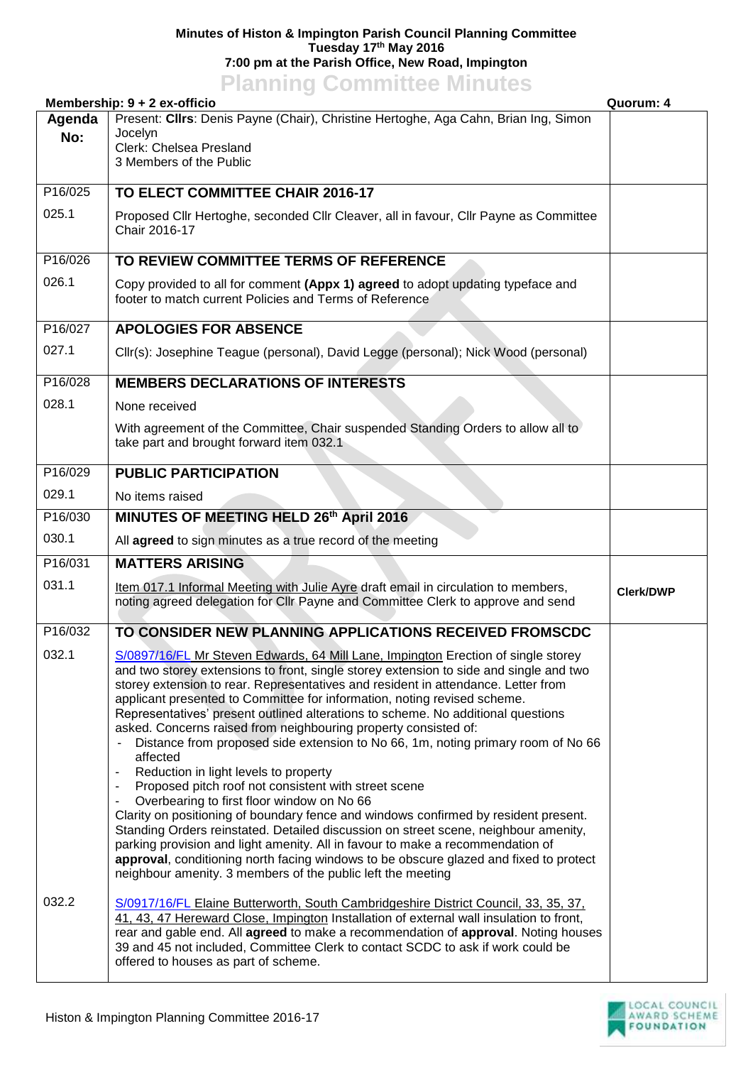## **Minutes of Histon & Impington Parish Council Planning Committee Tuesday 17th May 2016 7:00 pm at the Parish Office, New Road, Impington**

## **Planning Committee Minutes**

|               | Membership: 9 + 2 ex-officio                                                                                                                                                                                                                                                                                                                                                                                                                                                                                                                                                                                                                                                                                                                                                                                                                                                                                                                                                                                                                                                                                                                                                         | Quorum: 4        |
|---------------|--------------------------------------------------------------------------------------------------------------------------------------------------------------------------------------------------------------------------------------------------------------------------------------------------------------------------------------------------------------------------------------------------------------------------------------------------------------------------------------------------------------------------------------------------------------------------------------------------------------------------------------------------------------------------------------------------------------------------------------------------------------------------------------------------------------------------------------------------------------------------------------------------------------------------------------------------------------------------------------------------------------------------------------------------------------------------------------------------------------------------------------------------------------------------------------|------------------|
| Agenda<br>No: | Present: Cllrs: Denis Payne (Chair), Christine Hertoghe, Aga Cahn, Brian Ing, Simon<br>Jocelyn<br>Clerk: Chelsea Presland<br>3 Members of the Public                                                                                                                                                                                                                                                                                                                                                                                                                                                                                                                                                                                                                                                                                                                                                                                                                                                                                                                                                                                                                                 |                  |
| P16/025       | TO ELECT COMMITTEE CHAIR 2016-17                                                                                                                                                                                                                                                                                                                                                                                                                                                                                                                                                                                                                                                                                                                                                                                                                                                                                                                                                                                                                                                                                                                                                     |                  |
| 025.1         | Proposed Cllr Hertoghe, seconded Cllr Cleaver, all in favour, Cllr Payne as Committee<br>Chair 2016-17                                                                                                                                                                                                                                                                                                                                                                                                                                                                                                                                                                                                                                                                                                                                                                                                                                                                                                                                                                                                                                                                               |                  |
| P16/026       | TO REVIEW COMMITTEE TERMS OF REFERENCE                                                                                                                                                                                                                                                                                                                                                                                                                                                                                                                                                                                                                                                                                                                                                                                                                                                                                                                                                                                                                                                                                                                                               |                  |
| 026.1         | Copy provided to all for comment (Appx 1) agreed to adopt updating typeface and<br>footer to match current Policies and Terms of Reference                                                                                                                                                                                                                                                                                                                                                                                                                                                                                                                                                                                                                                                                                                                                                                                                                                                                                                                                                                                                                                           |                  |
| P16/027       | <b>APOLOGIES FOR ABSENCE</b>                                                                                                                                                                                                                                                                                                                                                                                                                                                                                                                                                                                                                                                                                                                                                                                                                                                                                                                                                                                                                                                                                                                                                         |                  |
| 027.1         | Cllr(s): Josephine Teague (personal), David Legge (personal); Nick Wood (personal)                                                                                                                                                                                                                                                                                                                                                                                                                                                                                                                                                                                                                                                                                                                                                                                                                                                                                                                                                                                                                                                                                                   |                  |
| P16/028       | <b>MEMBERS DECLARATIONS OF INTERESTS</b>                                                                                                                                                                                                                                                                                                                                                                                                                                                                                                                                                                                                                                                                                                                                                                                                                                                                                                                                                                                                                                                                                                                                             |                  |
| 028.1         | None received                                                                                                                                                                                                                                                                                                                                                                                                                                                                                                                                                                                                                                                                                                                                                                                                                                                                                                                                                                                                                                                                                                                                                                        |                  |
|               | With agreement of the Committee, Chair suspended Standing Orders to allow all to<br>take part and brought forward item 032.1                                                                                                                                                                                                                                                                                                                                                                                                                                                                                                                                                                                                                                                                                                                                                                                                                                                                                                                                                                                                                                                         |                  |
| P16/029       | <b>PUBLIC PARTICIPATION</b>                                                                                                                                                                                                                                                                                                                                                                                                                                                                                                                                                                                                                                                                                                                                                                                                                                                                                                                                                                                                                                                                                                                                                          |                  |
| 029.1         | No items raised                                                                                                                                                                                                                                                                                                                                                                                                                                                                                                                                                                                                                                                                                                                                                                                                                                                                                                                                                                                                                                                                                                                                                                      |                  |
| P16/030       | MINUTES OF MEETING HELD 26th April 2016                                                                                                                                                                                                                                                                                                                                                                                                                                                                                                                                                                                                                                                                                                                                                                                                                                                                                                                                                                                                                                                                                                                                              |                  |
| 030.1         | All agreed to sign minutes as a true record of the meeting                                                                                                                                                                                                                                                                                                                                                                                                                                                                                                                                                                                                                                                                                                                                                                                                                                                                                                                                                                                                                                                                                                                           |                  |
| P16/031       | <b>MATTERS ARISING</b>                                                                                                                                                                                                                                                                                                                                                                                                                                                                                                                                                                                                                                                                                                                                                                                                                                                                                                                                                                                                                                                                                                                                                               |                  |
| 031.1         | Item 017.1 Informal Meeting with Julie Ayre draft email in circulation to members,<br>noting agreed delegation for CIIr Payne and Committee Clerk to approve and send                                                                                                                                                                                                                                                                                                                                                                                                                                                                                                                                                                                                                                                                                                                                                                                                                                                                                                                                                                                                                | <b>Clerk/DWP</b> |
| P16/032       | TO CONSIDER NEW PLANNING APPLICATIONS RECEIVED FROMSCDC                                                                                                                                                                                                                                                                                                                                                                                                                                                                                                                                                                                                                                                                                                                                                                                                                                                                                                                                                                                                                                                                                                                              |                  |
| 032.1         | S/0897/16/FL Mr Steven Edwards, 64 Mill Lane, Impington Erection of single storey<br>and two storey extensions to front, single storey extension to side and single and two<br>storey extension to rear. Representatives and resident in attendance. Letter from<br>applicant presented to Committee for information, noting revised scheme.<br>Representatives' present outlined alterations to scheme. No additional questions<br>asked. Concerns raised from neighbouring property consisted of:<br>Distance from proposed side extension to No 66, 1m, noting primary room of No 66<br>affected<br>Reduction in light levels to property<br>Proposed pitch roof not consistent with street scene<br>۰<br>Overbearing to first floor window on No 66<br>۰<br>Clarity on positioning of boundary fence and windows confirmed by resident present.<br>Standing Orders reinstated. Detailed discussion on street scene, neighbour amenity,<br>parking provision and light amenity. All in favour to make a recommendation of<br>approval, conditioning north facing windows to be obscure glazed and fixed to protect<br>neighbour amenity. 3 members of the public left the meeting |                  |
| 032.2         | S/0917/16/FL Elaine Butterworth, South Cambridgeshire District Council, 33, 35, 37,<br>41, 43, 47 Hereward Close, Impington Installation of external wall insulation to front,<br>rear and gable end. All agreed to make a recommendation of approval. Noting houses<br>39 and 45 not included, Committee Clerk to contact SCDC to ask if work could be<br>offered to houses as part of scheme.                                                                                                                                                                                                                                                                                                                                                                                                                                                                                                                                                                                                                                                                                                                                                                                      |                  |

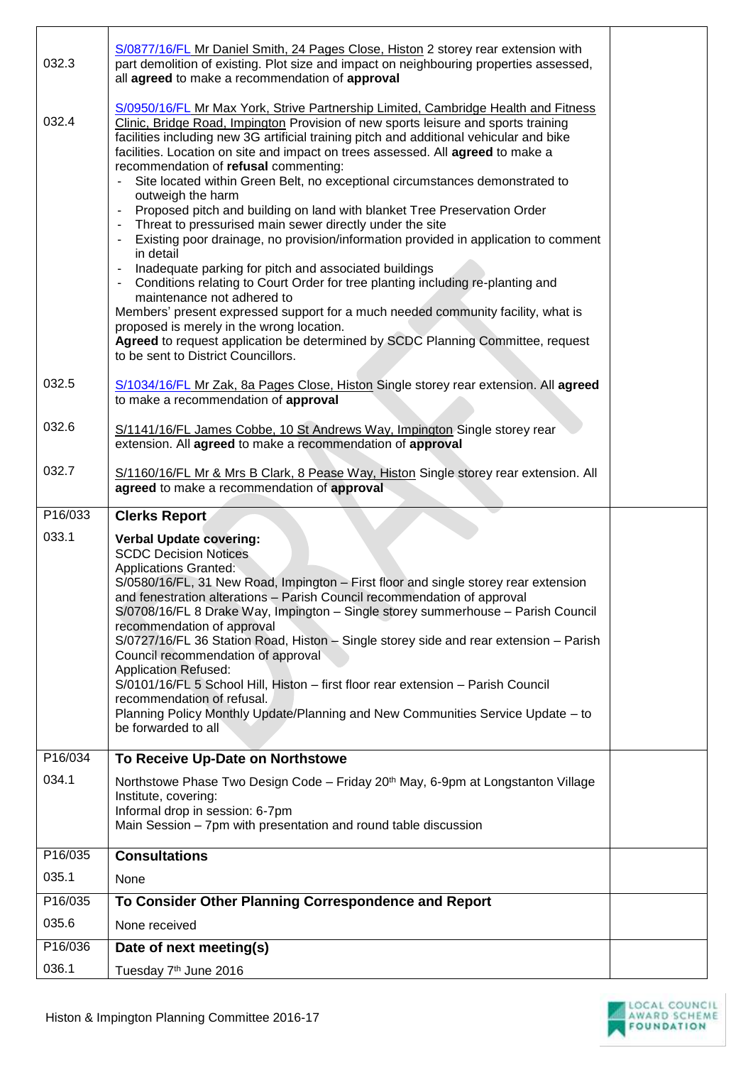| 032.3            | S/0877/16/FL Mr Daniel Smith, 24 Pages Close, Histon 2 storey rear extension with<br>part demolition of existing. Plot size and impact on neighbouring properties assessed,<br>all agreed to make a recommendation of approval                                                                                                                                                                                                                                                                                                                                                                                                                                                                                                                                                                                                                                                                                                                                                                                                                                                                                                                                                                                                               |  |
|------------------|----------------------------------------------------------------------------------------------------------------------------------------------------------------------------------------------------------------------------------------------------------------------------------------------------------------------------------------------------------------------------------------------------------------------------------------------------------------------------------------------------------------------------------------------------------------------------------------------------------------------------------------------------------------------------------------------------------------------------------------------------------------------------------------------------------------------------------------------------------------------------------------------------------------------------------------------------------------------------------------------------------------------------------------------------------------------------------------------------------------------------------------------------------------------------------------------------------------------------------------------|--|
| 032.4            | S/0950/16/FL Mr Max York, Strive Partnership Limited, Cambridge Health and Fitness<br>Clinic, Bridge Road, Impington Provision of new sports leisure and sports training<br>facilities including new 3G artificial training pitch and additional vehicular and bike<br>facilities. Location on site and impact on trees assessed. All agreed to make a<br>recommendation of refusal commenting:<br>Site located within Green Belt, no exceptional circumstances demonstrated to<br>outweigh the harm<br>Proposed pitch and building on land with blanket Tree Preservation Order<br>Threat to pressurised main sewer directly under the site<br>Existing poor drainage, no provision/information provided in application to comment<br>$\overline{\phantom{a}}$<br>in detail<br>Inadequate parking for pitch and associated buildings<br>Conditions relating to Court Order for tree planting including re-planting and<br>$\overline{\phantom{a}}$<br>maintenance not adhered to<br>Members' present expressed support for a much needed community facility, what is<br>proposed is merely in the wrong location.<br>Agreed to request application be determined by SCDC Planning Committee, request<br>to be sent to District Councillors. |  |
| 032.5            | S/1034/16/FL Mr Zak, 8a Pages Close, Histon Single storey rear extension. All agreed<br>to make a recommendation of approval                                                                                                                                                                                                                                                                                                                                                                                                                                                                                                                                                                                                                                                                                                                                                                                                                                                                                                                                                                                                                                                                                                                 |  |
| 032.6            | S/1141/16/FL James Cobbe, 10 St Andrews Way, Impington Single storey rear<br>extension. All agreed to make a recommendation of approval                                                                                                                                                                                                                                                                                                                                                                                                                                                                                                                                                                                                                                                                                                                                                                                                                                                                                                                                                                                                                                                                                                      |  |
| 032.7            | S/1160/16/FL Mr & Mrs B Clark, 8 Pease Way, Histon Single storey rear extension. All<br>agreed to make a recommendation of approval                                                                                                                                                                                                                                                                                                                                                                                                                                                                                                                                                                                                                                                                                                                                                                                                                                                                                                                                                                                                                                                                                                          |  |
|                  |                                                                                                                                                                                                                                                                                                                                                                                                                                                                                                                                                                                                                                                                                                                                                                                                                                                                                                                                                                                                                                                                                                                                                                                                                                              |  |
| P16/033          | <b>Clerks Report</b>                                                                                                                                                                                                                                                                                                                                                                                                                                                                                                                                                                                                                                                                                                                                                                                                                                                                                                                                                                                                                                                                                                                                                                                                                         |  |
| 033.1<br>P16/034 | <b>Verbal Update covering:</b><br><b>SCDC Decision Notices</b><br><b>Applications Granted:</b><br>S/0580/16/FL, 31 New Road, Impington - First floor and single storey rear extension<br>and fenestration alterations - Parish Council recommendation of approval<br>S/0708/16/FL 8 Drake Way, Impington - Single storey summerhouse - Parish Council<br>recommendation of approval<br>S/0727/16/FL 36 Station Road, Histon - Single storey side and rear extension - Parish<br>Council recommendation of approval<br><b>Application Refused:</b><br>S/0101/16/FL 5 School Hill, Histon - first floor rear extension - Parish Council<br>recommendation of refusal.<br>Planning Policy Monthly Update/Planning and New Communities Service Update - to<br>be forwarded to all<br>To Receive Up-Date on Northstowe                                                                                                                                                                                                                                                                                                                                                                                                                            |  |
| 034.1            |                                                                                                                                                                                                                                                                                                                                                                                                                                                                                                                                                                                                                                                                                                                                                                                                                                                                                                                                                                                                                                                                                                                                                                                                                                              |  |
|                  | Northstowe Phase Two Design Code - Friday 20 <sup>th</sup> May, 6-9pm at Longstanton Village<br>Institute, covering:<br>Informal drop in session: 6-7pm<br>Main Session - 7pm with presentation and round table discussion                                                                                                                                                                                                                                                                                                                                                                                                                                                                                                                                                                                                                                                                                                                                                                                                                                                                                                                                                                                                                   |  |
| P16/035          | <b>Consultations</b>                                                                                                                                                                                                                                                                                                                                                                                                                                                                                                                                                                                                                                                                                                                                                                                                                                                                                                                                                                                                                                                                                                                                                                                                                         |  |
| 035.1            | None                                                                                                                                                                                                                                                                                                                                                                                                                                                                                                                                                                                                                                                                                                                                                                                                                                                                                                                                                                                                                                                                                                                                                                                                                                         |  |
| P16/035          | To Consider Other Planning Correspondence and Report                                                                                                                                                                                                                                                                                                                                                                                                                                                                                                                                                                                                                                                                                                                                                                                                                                                                                                                                                                                                                                                                                                                                                                                         |  |
| 035.6            | None received                                                                                                                                                                                                                                                                                                                                                                                                                                                                                                                                                                                                                                                                                                                                                                                                                                                                                                                                                                                                                                                                                                                                                                                                                                |  |
| P16/036          | Date of next meeting(s)                                                                                                                                                                                                                                                                                                                                                                                                                                                                                                                                                                                                                                                                                                                                                                                                                                                                                                                                                                                                                                                                                                                                                                                                                      |  |